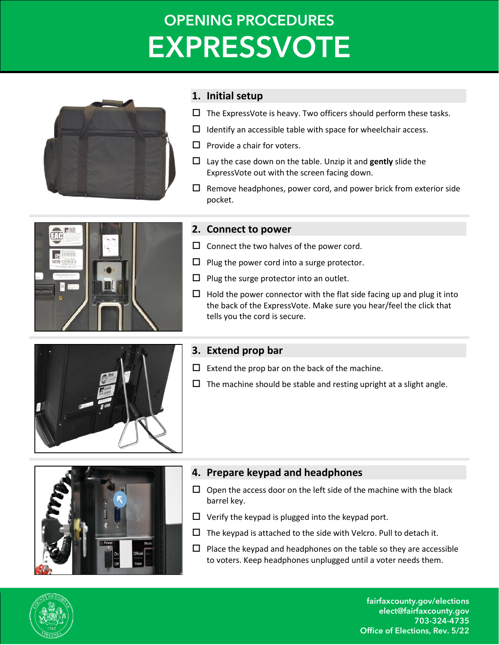# **OPENING PROCEDURES EXPRESSVOTE**



## **1. Initial setup**

- $\Box$  The ExpressVote is heavy. Two officers should perform these tasks.
- $\Box$  Identify an accessible table with space for wheelchair access.
- $\Box$  Provide a chair for voters.
- $\Box$  Lay the case down on the table. Unzip it and **gently** slide the ExpressVote out with the screen facing down.
- $\Box$  Remove headphones, power cord, and power brick from exterior side pocket.



#### **2. Connect to power**

- $\square$  Connect the two halves of the power cord.
- $\Box$  Plug the power cord into a surge protector.
- $\Box$  Plug the surge protector into an outlet.
- $\Box$  Hold the power connector with the flat side facing up and plug it into the back of the ExpressVote. Make sure you hear/feel the click that tells you the cord is secure.



## **3. Extend prop bar**

- $\Box$  Extend the prop bar on the back of the machine.
- $\Box$  The machine should be stable and resting upright at a slight angle.



## **4. Prepare keypad and headphones**

- $\Box$  Open the access door on the left side of the machine with the black barrel key.
- $\Box$  Verify the keypad is plugged into the keypad port.
- $\Box$  The keypad is attached to the side with Velcro. Pull to detach it.
- $\Box$  Place the keypad and headphones on the table so they are accessible to voters. Keep headphones unplugged until a voter needs them.



fairfaxcounty.gov/elections elect@fairfaxcounty.gov 703-324-4735 Office of Elections, Rev. 5/22